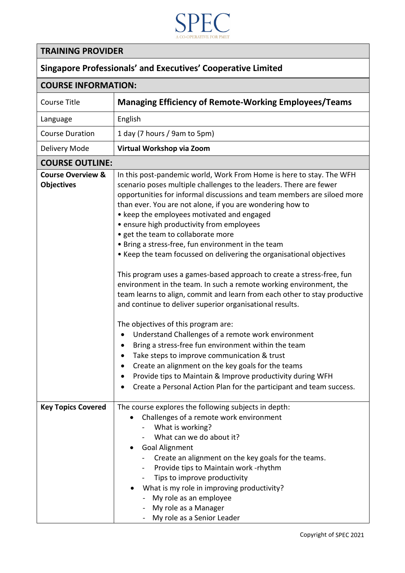

## **TRAINING PROVIDER**

## **Singapore Professionals' and Executives' Cooperative Limited**

| <b>COURSE INFORMATION:</b>                        |                                                                                                                                                                                                                                                                                                                                                                                                                                                                                                                                                                                                                                                                                                                                                                                                                                                                                                                                                                                                                                                                                                                                                                                                                                         |
|---------------------------------------------------|-----------------------------------------------------------------------------------------------------------------------------------------------------------------------------------------------------------------------------------------------------------------------------------------------------------------------------------------------------------------------------------------------------------------------------------------------------------------------------------------------------------------------------------------------------------------------------------------------------------------------------------------------------------------------------------------------------------------------------------------------------------------------------------------------------------------------------------------------------------------------------------------------------------------------------------------------------------------------------------------------------------------------------------------------------------------------------------------------------------------------------------------------------------------------------------------------------------------------------------------|
| <b>Course Title</b>                               | <b>Managing Efficiency of Remote-Working Employees/Teams</b>                                                                                                                                                                                                                                                                                                                                                                                                                                                                                                                                                                                                                                                                                                                                                                                                                                                                                                                                                                                                                                                                                                                                                                            |
| Language                                          | English                                                                                                                                                                                                                                                                                                                                                                                                                                                                                                                                                                                                                                                                                                                                                                                                                                                                                                                                                                                                                                                                                                                                                                                                                                 |
| <b>Course Duration</b>                            | 1 day (7 hours / 9am to 5pm)                                                                                                                                                                                                                                                                                                                                                                                                                                                                                                                                                                                                                                                                                                                                                                                                                                                                                                                                                                                                                                                                                                                                                                                                            |
| Delivery Mode                                     | Virtual Workshop via Zoom                                                                                                                                                                                                                                                                                                                                                                                                                                                                                                                                                                                                                                                                                                                                                                                                                                                                                                                                                                                                                                                                                                                                                                                                               |
| <b>COURSE OUTLINE:</b>                            |                                                                                                                                                                                                                                                                                                                                                                                                                                                                                                                                                                                                                                                                                                                                                                                                                                                                                                                                                                                                                                                                                                                                                                                                                                         |
| <b>Course Overview &amp;</b><br><b>Objectives</b> | In this post-pandemic world, Work From Home is here to stay. The WFH<br>scenario poses multiple challenges to the leaders. There are fewer<br>opportunities for informal discussions and team members are siloed more<br>than ever. You are not alone, if you are wondering how to<br>• keep the employees motivated and engaged<br>• ensure high productivity from employees<br>• get the team to collaborate more<br>• Bring a stress-free, fun environment in the team<br>• Keep the team focussed on delivering the organisational objectives<br>This program uses a games-based approach to create a stress-free, fun<br>environment in the team. In such a remote working environment, the<br>team learns to align, commit and learn from each other to stay productive<br>and continue to deliver superior organisational results.<br>The objectives of this program are:<br>Understand Challenges of a remote work environment<br>Bring a stress-free fun environment within the team<br>Take steps to improve communication & trust<br>Create an alignment on the key goals for the teams<br>Provide tips to Maintain & Improve productivity during WFH<br>Create a Personal Action Plan for the participant and team success. |
| <b>Key Topics Covered</b>                         | The course explores the following subjects in depth:<br>Challenges of a remote work environment<br>What is working?<br>What can we do about it?<br><b>Goal Alignment</b><br>Create an alignment on the key goals for the teams.<br>Provide tips to Maintain work -rhythm<br>$\blacksquare$<br>Tips to improve productivity<br>What is my role in improving productivity?<br>My role as an employee<br>My role as a Manager<br>My role as a Senior Leader                                                                                                                                                                                                                                                                                                                                                                                                                                                                                                                                                                                                                                                                                                                                                                                |